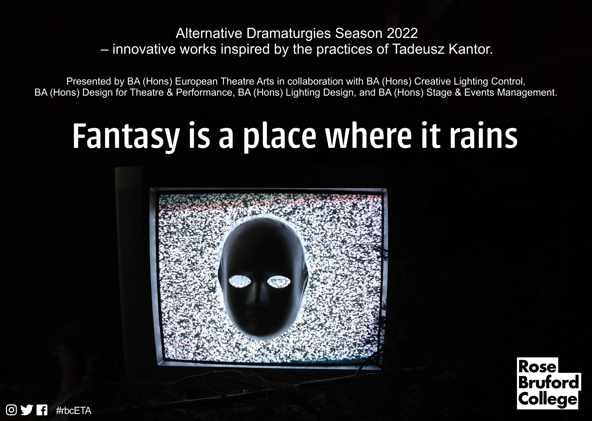### Alternative Dramaturgies Season 2022 – innovative works inspired by the practices of Tadeusz Kantor.

Presented by BA (Hons) European Theatre Arts in collaboration with BA (Hons) Creative Lighting Control, BA (Hons) Design for Theatre & Performance, BA (Hons) Lighting Design, and BA (Hons) Stage & Events Management.

# Fantasy is a place where it rains